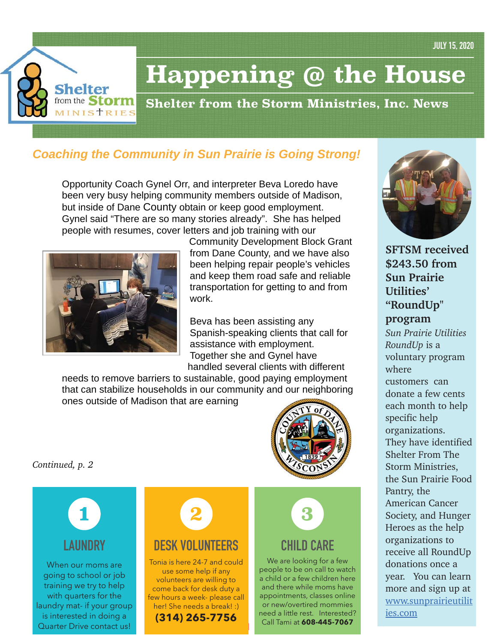

# **Happening @ the House**

**Shelter from the Storm Ministries, Inc. News**

# *Coaching the Community in Sun Prairie is Going Strong!*

Opportunity Coach Gynel Orr, and interpreter Beva Loredo have been very busy helping community members outside of Madison, but inside of Dane County obtain or keep good employment. Gynel said "There are so many stories already". She has helped people with resumes, cover letters and job training with our



Community Development Block Grant from Dane County, and we have also been helping repair people's vehicles and keep them road safe and reliable transportation for getting to and from work.

Beva has been assisting any Spanish-speaking clients that call for assistance with employment. Together she and Gynel have handled several clients with different

needs to remove barriers to sustainable, good paying employment that can stabilize households in our community and our neighboring ones outside of Madison that are earning



*Continued, p. 2* 



When our moms are going to school or job training we try to help with quarters for the laundry mat- if your group is interested in doing a Quarter Drive contact us!



# **DESK VOLUNTEERS**

Tonia is here 24-7 and could use some help if any volunteers are willing to come back for desk duty a few hours a week- please call her! She needs a break! :) **(314) 265-7756**

**1**



# **CHILD CARE**

We are looking for a few people to be on call to watch a child or a few children here and there while moms have appointments, classes online or new/overtired mommies need a little rest. Interested? Call Tami at **608-445-7067**



**SFTSM received \$243.50 from Sun Prairie Utilities' "RoundUp"** 

## **program**

*Sun Prairie Utilities RoundUp* is a voluntary program where customers can donate a few cents each month to help specific help organizations. They have identified Shelter From The Storm Ministries, the Sun Prairie Food Pantry, the American Cancer Society, and Hunger Heroes as the help organizations to receive all RoundUp donations once a year. You can learn more and sign up at www.sunprairieutilit ies.com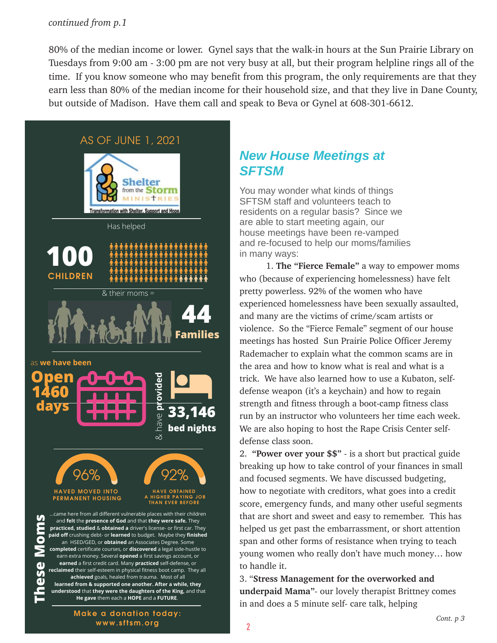#### *continued from p.1*

80% of the median income or lower. Gynel says that the walk-in hours at the Sun Prairie Library on Tuesdays from 9:00 am - 3:00 pm are not very busy at all, but their program helpline rings all of the time. If you know someone who may benefit from this program, the only requirements are that they earn less than 80% of the median income for their household size, and that they live in Dane County, but outside of Madison. Have them call and speak to Beva or Gynel at 608-301-6612.



# *New House Meetings at SFTSM*

You may wonder what kinds of things SFTSM staff and volunteers teach to residents on a regular basis? Since we are able to start meeting again, our house meetings have been re-vamped and re-focused to help our moms/families in many ways:

 1. **The "Fierce Female"** a way to empower moms who (because of experiencing homelessness) have felt pretty powerless. 92% of the women who have experienced homelessness have been sexually assaulted, and many are the victims of crime/scam artists or violence. So the "Fierce Female" segment of our house meetings has hosted Sun Prairie Police Officer Jeremy Rademacher to explain what the common scams are in the area and how to know what is real and what is a trick. We have also learned how to use a Kubaton, selfdefense weapon (it's a keychain) and how to regain strength and fitness through a boot-camp fitness class run by an instructor who volunteers her time each week. We are also hoping to host the Rape Crisis Center selfdefense class soon.

2. **"Power over your \$\$"** - is a short but practical guide breaking up how to take control of your finances in small and focused segments. We have discussed budgeting, how to negotiate with creditors, what goes into a credit score, emergency funds, and many other useful segments that are short and sweet and easy to remember. This has helped us get past the embarrassment, or short attention span and other forms of resistance when trying to teach young women who really don't have much money… how to handle it.

3. "**Stress Management for the overworked and underpaid Mama"**- our lovely therapist Brittney comes in and does a 5 minute self- care talk, helping

**Make a donation today: www.sftsm.org**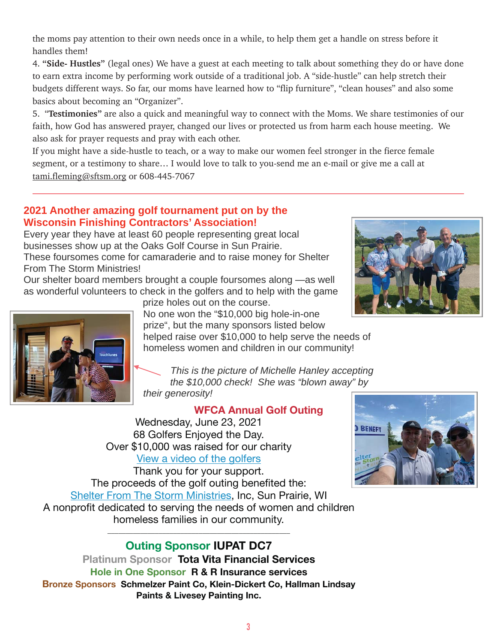the moms pay attention to their own needs once in a while, to help them get a handle on stress before it handles them!

4. **"Side- Hustles"** (legal ones) We have a guest at each meeting to talk about something they do or have done to earn extra income by performing work outside of a traditional job. A "side-hustle" can help stretch their budgets different ways. So far, our moms have learned how to "flip furniture", "clean houses" and also some basics about becoming an "Organizer".

5. "**Testimonies"** are also a quick and meaningful way to connect with the Moms. We share testimonies of our faith, how God has answered prayer, changed our lives or protected us from harm each house meeting. We also ask for prayer requests and pray with each other.

If you might have a side-hustle to teach, or a way to make our women feel stronger in the fierce female segment, or a testimony to share… I would love to talk to you-send me an e-mail or give me a call at tami.fleming@sftsm.org or 608-445-7067

### **2021 Another amazing golf tournament put on by the Wisconsin Finishing Contractors' Association!**

Every year they have at least 60 people representing great local businesses show up at the Oaks Golf Course in Sun Prairie. These foursomes come for camaraderie and to raise money for Shelter From The Storm Ministries!

Our shelter board members brought a couple foursomes along —as well as wonderful volunteers to check in the golfers and to help with the game





prize holes out on the course.

No one won the "\$10,000 big hole-in-one prize", but the many sponsors listed below

helped raise over \$10,000 to help serve the needs of homeless women and children in our community!

*This is the picture of Michelle Hanley accepting the \$10,000 check! She was "blown away" by their generosity!*

## **WFCA Annual Golf Outing**

Wednesday, June 23, 2021 68 Golfers Enjoyed the Day. Over \$10,000 was raised for our charity View a video of the golfers

Thank you for your support. The proceeds of the golf outing benefited the: Shelter From The Storm Ministries, Inc, Sun Prairie, WI A nonprofit dedicated to serving the needs of women and children homeless families in our community.



## \_\_\_\_\_\_\_\_\_\_\_\_\_\_\_\_\_\_\_\_\_\_\_\_\_\_\_\_\_\_\_\_\_\_\_\_\_\_\_\_\_\_\_\_\_\_\_\_\_\_ **Outing Sponsor IUPAT DC7**

**Platinum Sponsor Tota Vita Financial Services Hole in One Sponsor R & R Insurance services Bronze Sponsors Schmelzer Paint Co, Klein-Dickert Co, Hallman Lindsay Paints & Livesey Painting Inc.**